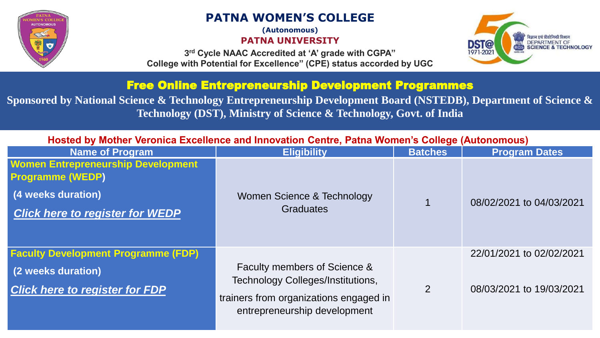

# **PATNA WOMEN'S COLLEGE**

**(Autonomous)**

**PATNA UNIVERSITY**

**3 rd Cycle NAAC Accredited at 'A' grade with CGPA" College with Potential for Excellence" (CPE) status accorded by UGC**



## Free Online Entrepreneurship Development Programmes

**Sponsored by National Science & Technology Entrepreneurship Development Board (NSTEDB), Department of Science & Technology (DST), Ministry of Science & Technology, Govt. of India**

| Hosted by Mother Veronica Excellence and Innovation Centre, Patna Women's College (Autonomous) |                                                                                                                    |                |                          |
|------------------------------------------------------------------------------------------------|--------------------------------------------------------------------------------------------------------------------|----------------|--------------------------|
| <b>Name of Program</b>                                                                         | <b>Eligibility</b>                                                                                                 | <b>Batches</b> | <b>Program Dates</b>     |
| <b>Women Entrepreneurship Development</b><br><b>Programme (WEDP)</b>                           |                                                                                                                    |                |                          |
| (4 weeks duration)                                                                             | Women Science & Technology                                                                                         |                |                          |
| <b>Click here to register for WEDP</b>                                                         | <b>Graduates</b>                                                                                                   |                | 08/02/2021 to 04/03/2021 |
|                                                                                                |                                                                                                                    |                |                          |
| <b>Faculty Development Programme (FDP)</b>                                                     |                                                                                                                    |                | 22/01/2021 to 02/02/2021 |
| (2 weeks duration)                                                                             | Faculty members of Science &                                                                                       |                |                          |
| <b>Click here to register for FDP</b>                                                          | <b>Technology Colleges/Institutions,</b><br>trainers from organizations engaged in<br>entrepreneurship development | 2              | 08/03/2021 to 19/03/2021 |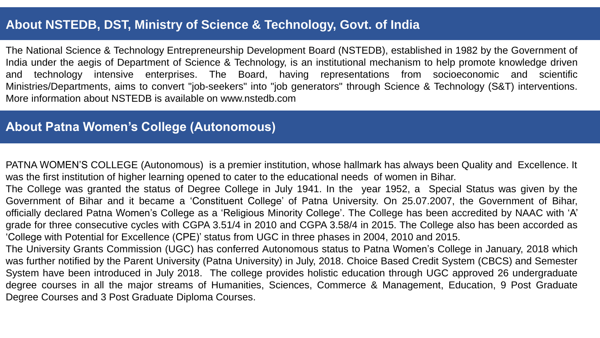# **About NSTEDB, DST, Ministry of Science & Technology, Govt. of India**

The National Science & Technology Entrepreneurship Development Board (NSTEDB), established in 1982 by the Government of India under the aegis of Department of Science & Technology, is an institutional mechanism to help promote knowledge driven and technology intensive enterprises. The Board, having representations from socioeconomic and scientific Ministries/Departments, aims to convert "job-seekers" into "job generators" through Science & Technology (S&T) interventions. More information about NSTEDB is available on www.nstedb.com

## **About Patna Women's College (Autonomous)**

PATNA WOMEN'S COLLEGE (Autonomous) is a premier institution, whose hallmark has always been Quality and Excellence. It was the first institution of higher learning opened to cater to the educational needs of women in Bihar.

The College was granted the status of Degree College in July 1941. In the year 1952, a Special Status was given by the Government of Bihar and it became a 'Constituent College' of Patna University. On 25.07.2007, the Government of Bihar, officially declared Patna Women's College as a 'Religious Minority College'. The College has been accredited by NAAC with 'A' grade for three consecutive cycles with CGPA 3.51/4 in 2010 and CGPA 3.58/4 in 2015. The College also has been accorded as 'College with Potential for Excellence (CPE)' status from UGC in three phases in 2004, 2010 and 2015.

The University Grants Commission (UGC) has conferred Autonomous status to Patna Women's College in January, 2018 which was further notified by the Parent University (Patna University) in July, 2018. Choice Based Credit System (CBCS) and Semester System have been introduced in July 2018. The college provides holistic education through UGC approved 26 undergraduate degree courses in all the major streams of Humanities, Sciences, Commerce & Management, Education, 9 Post Graduate Degree Courses and 3 Post Graduate Diploma Courses.